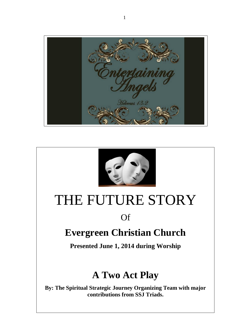



# THE FUTURE STORY

## Of

# **Evergreen Christian Church**

**Presented June 1, 2014 during Worship**

# **A Two Act Play**

**By: The Spiritual Strategic Journey Organizing Team with major contributions from SSJ Triads.**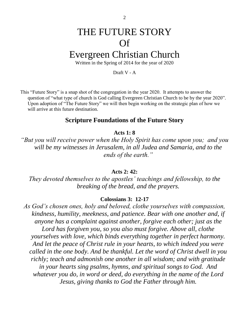# THE FUTURE STORY Of

## Evergreen Christian Church

Written in the Spring of 2014 for the year of 2020

Draft V - A

This "Future Story" is a snap shot of the congregation in the year 2020. It attempts to answer the question of "what type of church is God calling Evergreen Christian Church to be by the year 2020". Upon adoption of "The Future Story" we will then begin working on the strategic plan of how we will arrive at this future destination.

#### **Scripture Foundations of the Future Story**

#### **Acts 1: 8**

*"But you will receive power when the Holy Spirit has come upon you; and you will be my witnesses in Jerusalem, in all Judea and Samaria, and to the ends of the earth."*

#### **Acts 2: 42:**

*They devoted themselves to the apostles' teachings and fellowship, to the breaking of the bread, and the prayers.*

#### **Colossians 3: 12-17**

*As God's chosen ones, holy and beloved, clothe yourselves with compassion, kindness, humility, meekness, and patience. Bear with one another and, if anyone has a complaint against another, forgive each other; just as the Lord has forgiven you, so you also must forgive. Above all, clothe yourselves with love, which binds everything together in perfect harmony. And let the peace of Christ rule in your hearts, to which indeed you were called in the one body. And be thankful. Let the word of Christ dwell in you richly; teach and admonish one another in all wisdom; and with gratitude in your hearts sing psalms, hymns, and spiritual songs to God. And whatever you do, in word or deed, do everything in the name of the Lord Jesus, giving thanks to God the Father through him.*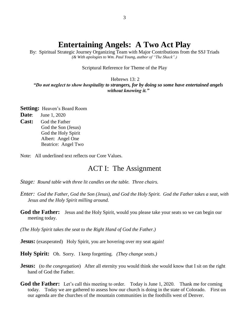## **Entertaining Angels: A Two Act Play**

By: Spiritual Strategic Journey Organizing Team with Major Contributions from the SSJ Triads *(& With apologies to Wm. Paul Young, author of "The Shack".)*

#### Scriptural Reference for Theme of the Play

#### Hebrews 13: 2

*"Do not neglect to show hospitality to strangers, for by doing so some have entertained angels without knowing it."*

**Setting:** Heaven's Board Room **Date**: June 1, 2020 **Cast:** God the Father God the Son (Jesus) God the Holy Spirit Albert: Angel One Beatrice: Angel Two

Note: All underlined text reflects our Core Values.

#### ACT I: The Assignment

- *Stage: Round table with three lit candles on the table. Three chairs.*
- *Enter: God the Father, God the Son (Jesus), and God the Holy Spirit. God the Father takes a seat, with Jesus and the Holy Spirit milling around.*
- **God the Father:** Jesus and the Holy Spirit, would you please take your seats so we can begin our meeting today.

*(The Holy Spirit takes the seat to the Right Hand of God the Father.)*

**Jesus:** (exasperated) Holy Spirit, you are hovering over my seat again!

**Holy Spirit:** Oh. Sorry. I keep forgetting. *(They change seats.)*

- **Jesus:** (*to the congregation*) After all eternity you would think she would know that I sit on the right hand of God the Father.
- God the Father: Let's call this meeting to order. Today is June 1, 2020. Thank me for coming today. Today we are gathered to assess how our church is doing in the state of Colorado. First on our agenda are the churches of the mountain communities in the foothills west of Denver.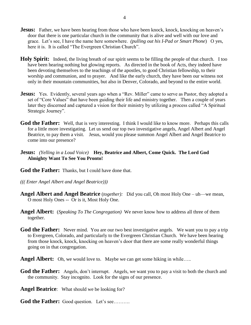- **Jesus:** Father, we have been hearing from those who have been knock, knock, knocking on heaven's door that there is one particular church in the community that is alive and well with our love and grace. Let's see, I have the name here somewhere. *(pulling out his I-Pad or Smart Phone*) O yes, here it is. It is called "The Evergreen Christian Church".
- **Holy Spirit:** Indeed, the living breath of our spirit seems to be filling the people of that church. I too have been hearing nothing but glowing reports. As directed in the book of Acts, they indeed have been devoting themselves to the teachings of the apostles, to good Christian fellowship, to their worship and communion, and to prayer. And like the early church, they have been our witness not only in their mountain communities, but also in Denver, Colorado, and beyond to the entire world.
- **Jesus:** Yes. Evidently, several years ago when a "Rev. Miller" came to serve as Pastor, they adopted a set of "Core Values" that have been guiding their life and ministry together. Then a couple of years later they discerned and captured a vision for their ministry by utilizing a process called "A Spiritual Strategic Journey".
- God the Father: Well, that is very interesting. I think I would like to know more. Perhaps this calls for a little more investigating. Let us send our top two investigative angels, Angel Albert and Angel Beatrice, to pay them a visit. Jesus, would you please summon Angel Albert and Angel Beatrice to come into our presence?
- **Jesus:** *(Yelling in a Loud Voice)* **Hey, Beatrice and Albert, Come Quick. The Lord God Almighty Want To See You Pronto!**
- **God the Father:** Thanks, but I could have done that.
- *((( Enter Angel Albert and Angel Beatrice)))*
- **Angel Albert and Angel Beatrice** (*together):* Did you call, Oh most Holy One uh—we mean, O most Holy Ones -- Or is it, Most Holy One.
- **Angel Albert:** (*Speaking To The Congregation)* We never know how to address all three of them together.
- **God the Father:** Never mind. You are our two best investigative angels. We want you to pay a trip to Evergreen, Colorado, and particularly to the Evergreen Christian Church. We have been hearing from those knock, knock, knocking on heaven's door that there are some really wonderful things going on in that congregation.
- **Angel Albert:** Oh, we would love to. Maybe we can get some hiking in while.....
- God the Father: Angels, don't interrupt. Angels, we want you to pay a visit to both the church and the community. Stay incognito. Look for the signs of our presence.
- **Angel Beatrice**: What should we be looking for?
- God the Father: Good question. Let's see..........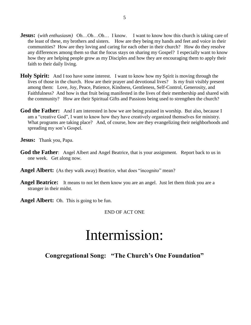- **Jesus:** (*with enthusiasm*) Oh…Oh…Oh… I know. I want to know how this church is taking care of the least of these, my brothers and sisters. How are they being my hands and feet and voice in their communities? How are they loving and caring for each other in their church? How do they resolve any differences among them so that the focus stays on sharing my Gospel? I especially want to know how they are helping people grow as my Disciples and how they are encouraging them to apply their faith to their daily living.
- **Holy Spirit:** And I too have some interest. I want to know how my Spirit is moving through the lives of those in the church. How are their prayer and devotional lives? Is my fruit visibly present among them: Love, Joy, Peace, Patience, Kindness, Gentleness, Self-Control, Generosity, and Faithfulness? And how is that fruit being manifested in the lives of their membership and shared with the community? How are their Spiritual Gifts and Passions being used to strengthen the church?
- **God the Father:** And I am interested in how we are being praised in worship. But also, because I am a "creative God", I want to know how they have creatively organized themselves for ministry. What programs are taking place? And, of course, how are they evangelizing their neighborhoods and spreading my son's Gospel.

**Jesus:** Thank you, Papa.

- **God the Father**: Angel Albert and Angel Beatrice, that is your assignment. Report back to us in one week. Get along now.
- **Angel Albert:** (As they walk away) Beatrice, what does "incognito" mean?
- Angel Beatrice: It means to not let them know you are an angel. Just let them think you are a stranger in their midst.

**Angel Albert:** Oh. This is going to be fun.

#### END OF ACT ONE

# Intermission:

**Congregational Song: "The Church's One Foundation"**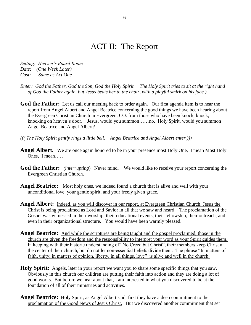## ACT II: The Report

*Setting: Heaven's Board Room Date: (One Week Later) Cast: Same as Act One*

*Enter: God the Father, God the Son, God the Holy Spirit. The Holy Spirit tries to sit at the right hand of God the Father again, but Jesus beats her to the chair, with a playful smirk on his face.)*

**God the Father:** Let us call our meeting back to order again. Our first agenda item is to hear the report from Angel Albert and Angel Beatrice concerning the good things we have been hearing about the Evergreen Christian Church in Evergreen, CO. from those who have been knock, knock, knocking on heaven's door. Jesus, would you summon……no. Holy Spirit, would you summon Angel Beatrice and Angel Albert?

- *((( The Holy Spirit gently rings a little bell. Angel Beatrice and Angel Albert enter.)))*
- **Angel Albert.** We are once again honored to be in your presence most Holy One, I mean Most Holy Ones, I mean……
- **God the Father:** *(interrupting*) Never mind. We would like to receive your report concerning the Evergreen Christian Church.
- Angel Beatrice: Most holy ones, we indeed found a church that is alive and well with your unconditional love, your gentle spirit, and your freely given grace.
- **Angel Albert:** Indeed, as you will discover in our report, at Evergreen Christian Church, Jesus the Christ is being proclaimed as Lord and Savior in all that we saw and heard. The proclamation of the Gospel was witnessed in their worship, their educational events, their fellowship, their outreach, and even in their organizational structure. You would have been warmly pleased.
- **Angel Beatrice:** And while the scriptures are being taught and the gospel proclaimed, those in the church are given the freedom and the responsibility to interpret your word as your Spirit guides them. In keeping with their historic understanding of "No Creed but Christ", their members keep Christ at the center of their church, but do not let non-essential beliefs divide them. The phrase "In matters of faith, unity; in matters of opinion, liberty, in all things, love" is alive and well in the church.
- **Holy Spirit:** Angels, later in your report we want you to share some specific things that you saw. Obviously in this church our children are putting their faith into action and they are doing a lot of good works. But before we hear about that, I am interested in what you discovered to be at the foundation of all of their ministries and activities.
- **Angel Beatrice:** Holy Spirit, as Angel Albert said, first they have a deep commitment to the proclamation of the Good News of Jesus Christ. But we discovered another commitment that set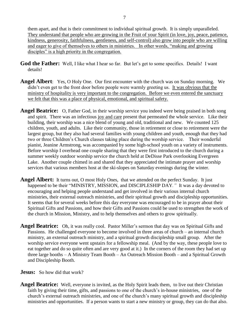them apart, and that is their commitment to individual spiritual growth. It is simply unparalleled. They understand that people who are growing in the Fruit of your Spirit (in love, joy, peace, patience, kindness, generosity, faithfulness, gentleness, and self-control) also grow into people who are willing and eager to give of themselves to others in ministries. In other words, "making and growing disciples" is a high priority in the congregation.

- God the Father: Well, I like what I hear so far. But let's get to some specifics. Details! I want details!
- **Angel Albert**: Yes, O Holy One. Our first encounter with the church was on Sunday morning. We didn't even get to the front door before people were warmly greeting us. It was obvious that the ministry of hospitality is very important to the congregation. Before we even entered the sanctuary we felt that this was a place of physical, emotional, and spiritual safety.
- **Angel Beatrice:** O, Father God, in their worship service you indeed were being praised in both song and spirit. There was an infectious joy and care present that permeated the whole service. Like their building, their worship was a nice blend of young and old, traditional and new. We counted 125 children, youth, and adults. Like their community, those in retirement or close to retirement were the largest group, but they also had several families with young children and youth, enough that they had two or three Children's Church classes taking place during the worship service. Their wonderful pianist, Jeanine Armstrong, was accompanied by some high-school youth on a variety of instruments. Before worship I overhead one couple sharing that they were first introduced to the church during a summer weekly outdoor worship service the church held at DeDisse Park overlooking Evergreen Lake. Another couple chimed in and shared that they appreciated the intimate prayer and worship services that various members host at the ski-slopes on Saturday evenings during the winter.
- **Angel Albert:** It turns out, O most Holy Ones, that we attended on the perfect Sunday. It just happened to be their "MINISTRY, MISSION, and DISCIPLESHIP DAY*."* It was a day devoted to encouraging and helping people understand and get involved in their various internal church ministries, their external outreach ministries, and their spiritual growth and discipleship opportunities. It seems that for several weeks before this day everyone was encouraged to be in prayer about their Spiritual Gifts and Passions, and how their Gifts and Passions could be used to strengthen the work of the church in Mission, Ministry, and to help themselves and others to grow spiritually.
- **Angel Beatrice:** Oh, it was really cool. Pastor Miller's sermon that day was on Spiritual Gifts and Passions. He challenged everyone to become involved in three areas of church – an internal church ministry, an external outreach ministry, and a spiritual growth discipleship small group. After the worship service everyone went upstairs for a fellowship meal. (And by the way, these people love to eat together and do so quite often and are very good at it.) In the corners of the room they had set up three large booths – A Ministry Team Booth – An Outreach Mission Booth – and a Spiritual Growth and Discipleship Booth.
- **Jesus:** So how did that work?
- **Angel Beatrice:** Well, everyone is invited, as the Holy Spirit leads them, to live out their Christian faith by giving their time, gifts, and passions to one of the church's in-house ministries, one of the church's external outreach ministries, and one of the church's many spiritual growth and discipleship ministries and opportunities. If a person wants to start a new ministry or group, they can do that also.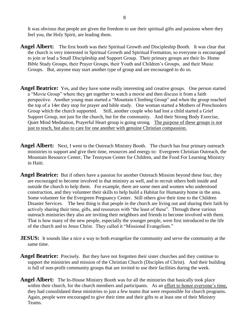It was obvious that people are given the freedom to use their spiritual gifts and passions where they feel you, the Holy Spirit, are leading them.

- **Angel Albert:** The first booth was their Spiritual Growth and Discipleship Booth. It was clear that the church is very interested in Spiritual Growth and Spiritual Formation, so everyone is encouraged to join or lead a Small Discipleship and Support Group. Their primary groups are their In- Home Bible Study Groups, their Prayer Groups, their Youth and Children's Groups, and their Music Groups. But, anyone may start another type of group and are encouraged to do so.
- **Angel Beatrice:** Yes, and they have some really interesting and creative groups. One person started a "Movie Group" where they get together to watch a movie and then discuss it from a faith perspective. Another young man started a "Mountain Climbing Group" and when the group reached the top of a 14er they stop for prayer and bible study. One woman started a Mothers of Preschoolers Group which the church supported. Still, another couple who had lost a child started a Grief Support Group, not just for the church, but for the community. And their Strong Body Exercise, Quiet Mind Meditation, Prayerful Heart group is going strong. The purpose of these groups is not just to teach, but also to care for one another with genuine Christian compassion.
- **Angel Albert:** Next, I went to the Outreach Ministry Booth. The church has four primary outreach ministries to support and give their time, resources and energy to: Evergreen Christian Outreach, the Mountain Resource Center, The Tennyson Center for Children, and the Food For Learning Ministry in Haiti.
- **Angel Beatrice:** But if others have a passion for another Outreach Mission beyond these four, they are encouraged to become involved in that ministry as well, and to recruit others both inside and outside the church to help them. For example, there are some men and women who understood construction, and they volunteer their skills to help build a Habitat for Humanity home in the area. Some volunteer for the Evergreen Pregnancy Center. Still others give their time to the Children Disaster Services. The best thing is that people in the church are living out and sharing their faith by actively sharing their time, gifts, and resources with "the least of these". Through these various outreach ministries they also are inviting their neighbors and friends to become involved with them. That is how many of the new people, especially the younger people, were first introduced to the life of the church and to Jesus Christ. They called it "Missional Evangelism."
- **JESUS:** It sounds like a nice a way to both evangelize the community and serve the community at the same time.
- Angel Beatrice: Precisely. But they have not forgotten their sister churches and they continue to support the ministries and mission of the Christian Church (Disciples of Christ). And their building is full of non-profit community groups that are invited to use their facilities during the week.
- **Angel Albert:** The In-House Ministry Booth was for all the ministries that basically took place within their church, for the church members and participants. As an effort to honor everyone's time, they had consolidated these ministries to just a few teams that were responsible for church programs. Again, people were encouraged to give their time and their gifts to at least one of their Ministry Teams.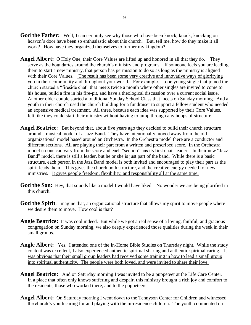- **God the Father:** Well, I can certainly see why those who have been knock, knock, knocking on heaven's door have been so enthusiastic about this church. But, tell me, how do they make it all work? How have they organized themselves to further my kingdom?
- **Angel Albert:** O Holy One, their Core Values are lifted up and honored in all that they do. They serve as the boundaries around the church's ministry and programs. If someone feels you are leading them to start a new ministry, that person has permission to do so as long as the ministry is aligned with their Core Values. The result has been some very creative and innovative ways of glorifying you in their community and throughout your world. For example…..one young single that joined the church started a "fireside chat" that meets twice a month where other singles are invited to come to his house, build a fire in his fire-pit, and have a theological discussion over a current social issue. Another older couple started a traditional Sunday School Class that meets on Sunday morning. And a youth in their church used the church building for a fundraiser to support a fellow student who needed an expensive medical treatment. All three, because each idea was supported by their Core Values, felt like they could start their ministry without having to jump through any hoops of structure.
- **Angel Beatrice**: But beyond that, about five years ago they decided to build their church structure around a musical model of a Jazz Band. They have intentionally moved away from the old organizational model based around an Orchestra. In the Orchestra model there are a conductor and different sections. All are playing their part from a written and prescribed score. In the Orchestra model no one can vary from the score and each "section" has its first chair leader. In their new "Jazz Band" model, there is still a leader, but he or she is just part of the band. While there is a basic structure, each person in the Jazz Band model is both invited and encouraged to play their part as the spirit leads them. This gives the church both structure, and the creative energy needed for new ministries. It gives people freedom, flexibility, and responsibility all at the same time.
- **God the Son:** Hey, that sounds like a model I would have liked. No wonder we are being glorified in this church.
- **God the Spirit:** Imagine that, an organizational structure that allows my spirit to move people where we desire them to move. How cool is that?
- **Angle Beatrice:** It was cool indeed. But while we got a real sense of a loving, faithful, and gracious congregation on Sunday morning, we also deeply experienced those qualities during the week in their small groups.
- **Angle Albert:** Yes. I attended one of the In-Home Bible Studies on Thursday night. While the study content was excellent, I also experienced authentic spiritual sharing and authentic spiritual caring. It was obvious that their small group leaders had received some training in how to lead a small group into spiritual authenticity. The people were both loved, and were invited to share their love.
- **Angel Beatrice:** And on Saturday morning I was invited to be a puppeteer at the Life Care Center. In a place that often only knows suffering and despair, this ministry brought a rich joy and comfort to the residents, those who worked there, and to the puppeteers.
- **Angel Albert:** On Saturday morning I went down to the Tennyson Center for Children and witnessed the church's youth caring for and playing with the in-residence children. The youth commented on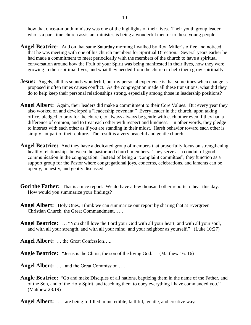how that once-a-month ministry was one of the highlights of their lives. Their youth group leader, who is a part-time church assistant minister, is being a wonderful mentor to these young people.

- **Angel Beatrice**: And on that same Saturday morning I walked by Rev. Miller's office and noticed that he was meeting with one of his church members for Spiritual Direction. Several years earlier he had made a commitment to meet periodically with the members of the church to have a spiritual conversation around how the Fruit of your Spirit was being manifested in their lives, how they were growing in their spiritual lives, and what they needed from the church to help them grow spiritually.
- **Jesus:** Angels, all this sounds wonderful, but my personal experience is that sometimes when change is proposed it often times causes conflict. As the congregation made all these transitions, what did they do to help keep their personal relationships strong, especially among those in leadership positions?
- **Angel Albert:** Again, their leaders did make a commitment to their Core Values. But every year they also worked on and developed a "leadership covenant." Every leader in the church, upon taking office, pledged to pray for the church, to always always be gentle with each other even if they had a difference of opinion, and to treat each other with respect and kindness. In other words, they pledge to interact with each other as if you are standing in their midst. Harsh behavior toward each other is simply not part of their culture. The result is a very peaceful and gentle church.
- **Angel Beatrice:** And they have a dedicated group of members that prayerfully focus on strengthening healthy relationships between the pastor and church members. They serve as a conduit of good communication in the congregation. Instead of being a "complaint committee", they function as a support group for the Pastor where congregational joys, concerns, celebrations, and laments can be openly, honestly, and gently discussed.
- God the Father: That is a nice report. We do have a few thousand other reports to hear this day. How would you summarize your findings?
- **Angel Albert:** Holy Ones, I think we can summarize our report by sharing that at Evergreen Christian Church, the Great Commandment……
- **Angel Beatrice:** … "You shall love the Lord your God with all your heart, and with all your soul, and with all your strength, and with all your mind, and your neighbor as yourself." (Luke 10:27)
- **Angel Albert:** ….the Great Confession…..

**Angle Beatrice:** "Jesus is the Christ, the son of the living God." (Matthew 16: 16)

- **Angel Albert:** ….. and the Great Commission ….
- **Angle Beatrice:** "Go and make Disciples of all nations, baptizing them in the name of the Father, and of the Son, and of the Holy Spirit, and teaching them to obey everything I have commanded you." (Matthew 28:19)

**Angel Albert:** .... are being fulfilled in incredible, faithful, gentle, and creative ways.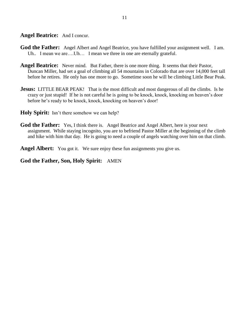Angel Beatrice: And I concur.

- **God the Father:** Angel Albert and Angel Beatrice, you have fulfilled your assignment well. I am. Uh.. I mean we are....Uh... I mean we three in one are eternally grateful.
- Angel Beatrice: Never mind. But Father, there is one more thing. It seems that their Pastor, Duncan Miller, had set a goal of climbing all 54 mountains in Colorado that are over 14,000 feet tall before he retires. He only has one more to go. Sometime soon he will be climbing Little Bear Peak.
- **Jesus:** LITTLE BEAR PEAK! That is the most difficult and most dangerous of all the climbs. Is he crazy or just stupid! If he is not careful he is going to be knock, knock, knocking on heaven's door before he's ready to be knock, knock, knocking on heaven's door!
- **Holy Spirit:** Isn't there somehow we can help?
- **God the Father:** Yes, I think there is. Angel Beatrice and Angel Albert, here is your next assignment. While staying incognito, you are to befriend Pastor Miller at the beginning of the climb and hike with him that day. He is going to need a couple of angels watching over him on that climb.

Angel Albert: You got it. We sure enjoy these fun assignments you give us.

**God the Father, Son, Holy Spirit:** AMEN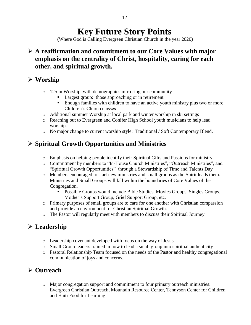## **Key Future Story Points**

(Where God is Calling Evergreen Christian Church in the year 2020)

#### **A reaffirmation and commitment to our Core Values with major emphasis on the centrality of Christ, hospitality, caring for each other, and spiritual growth.**

### **Worship**

- o 125 in Worship, with demographics mirroring our community
	- Largest group: those approaching or in retirement
	- **Enough families with children to have an active youth ministry plus two or more** Children's Church classes
- o Additional summer Worship at local park and winter worship in ski settings
- o Reaching out to Evergreen and Conifer High School youth musicians to help lead worship.
- o No major change to current worship style: Traditional / Soft Contemporary Blend.

## **Spiritual Growth Opportunities and Ministries**

- o Emphasis on helping people identify their Spiritual Gifts and Passions for ministry
- o Commitment by members to "In-House Church Ministries", "Outreach Ministries", and "Spiritual Growth Opportunities" through a Stewardship of Time and Talents Day
- o Members encouraged to start new ministries and small groups as the Spirit leads them. Ministries and Small Groups will fall within the boundaries of Core Values of the Congregation.
	- Possible Groups would include Bible Studies, Movies Groups, Singles Groups, Mother's Support Group, Grief Support Group, etc.
- o Primary purposes of small groups are to care for one another with Christian compassion and provide an environment for Christian Spiritual Growth.
- o The Pastor will regularly meet with members to discuss their Spiritual Journey

## **Leadership**

- o Leadership covenant developed with focus on the way of Jesus.
- o Small Group leaders trained in how to lead a small group into spiritual authenticity
- o Pastoral Relationship Team focused on the needs of the Pastor and healthy congregational communication of joys and concerns.

## **Outreach**

o Major congregation support and commitment to four primary outreach ministries: Evergreen Christian Outreach, Mountain Resource Center, Tennyson Center for Children, and Haiti Food for Learning